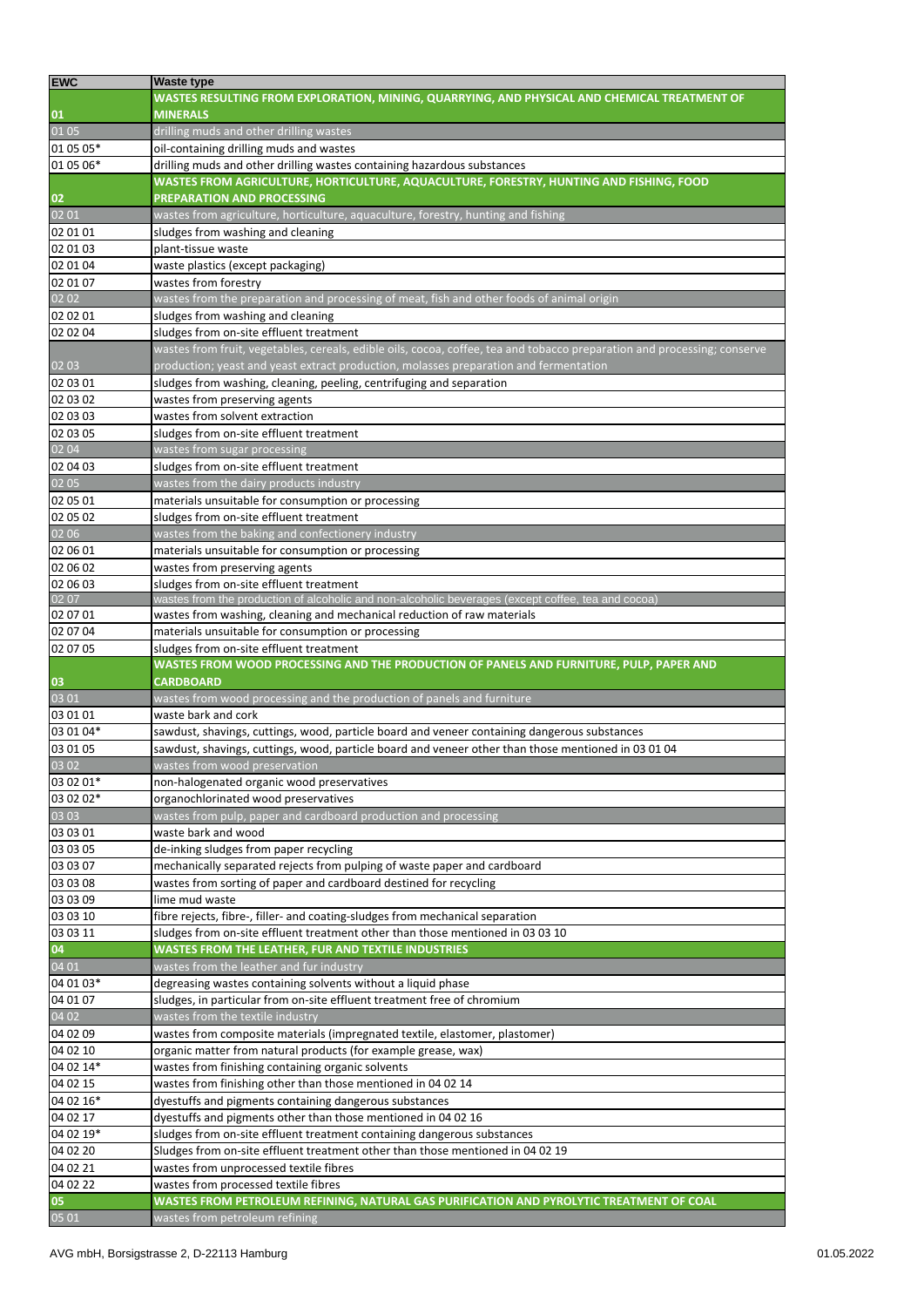| <b>EWC</b>                                                               | <b>Waste type</b>                                                                                                        |
|--------------------------------------------------------------------------|--------------------------------------------------------------------------------------------------------------------------|
|                                                                          | WASTES RESULTING FROM EXPLORATION, MINING, QUARRYING, AND PHYSICAL AND CHEMICAL TREATMENT OF                             |
| $\begin{array}{c} \mathbf{01} \\ 01 \; 05 \end{array}$                   | <b>MINERALS</b>                                                                                                          |
|                                                                          | drilling muds and other drilling wastes                                                                                  |
| 01 05 05*                                                                | oil-containing drilling muds and wastes                                                                                  |
| 01 05 06*                                                                | drilling muds and other drilling wastes containing hazardous substances                                                  |
|                                                                          | WASTES FROM AGRICULTURE, HORTICULTURE, AQUACULTURE, FORESTRY, HUNTING AND FISHING, FOOD                                  |
|                                                                          | PREPARATION AND PROCESSING                                                                                               |
| $\begin{array}{c} \mathbf{02} \\ \mathbf{02} \\ \mathbf{01} \end{array}$ | wastes from agriculture, horticulture, aquaculture, forestry, hunting and fishing                                        |
| 02 01 01                                                                 | sludges from washing and cleaning                                                                                        |
| 02 01 03                                                                 | plant-tissue waste                                                                                                       |
| 02 01 04                                                                 | waste plastics (except packaging)                                                                                        |
| 02 01 07                                                                 | wastes from forestry                                                                                                     |
| 0202                                                                     | wastes from the preparation and processing of meat, fish and other foods of animal origin                                |
| 02 02 01                                                                 | sludges from washing and cleaning                                                                                        |
| 02 02 04                                                                 | sludges from on-site effluent treatment                                                                                  |
|                                                                          | wastes from fruit, vegetables, cereals, edible oils, cocoa, coffee, tea and tobacco preparation and processing; conserve |
| 02 03                                                                    | production; yeast and yeast extract production, molasses preparation and fermentation                                    |
| 02 03 01                                                                 | sludges from washing, cleaning, peeling, centrifuging and separation                                                     |
| 02 03 02                                                                 | wastes from preserving agents                                                                                            |
| 02 03 03                                                                 | wastes from solvent extraction                                                                                           |
| 02 03 05                                                                 | sludges from on-site effluent treatment                                                                                  |
| 02 04                                                                    | wastes from sugar processing                                                                                             |
| 02 04 03                                                                 | sludges from on-site effluent treatment                                                                                  |
| 02 05                                                                    | wastes from the dairy products industry                                                                                  |
| 02 05 01                                                                 | materials unsuitable for consumption or processing                                                                       |
| 02 05 02                                                                 | sludges from on-site effluent treatment                                                                                  |
| 02 06                                                                    | wastes from the baking and confectionery industry                                                                        |
| 02 06 01                                                                 | materials unsuitable for consumption or processing                                                                       |
| 02 06 02                                                                 | wastes from preserving agents                                                                                            |
| 02 06 03                                                                 | sludges from on-site effluent treatment                                                                                  |
| 02 07                                                                    | wastes from the production of alcoholic and non-alcoholic beverages (except coffee, tea and cocoa)                       |
| 02 07 01                                                                 | wastes from washing, cleaning and mechanical reduction of raw materials                                                  |
| 02 07 04                                                                 | materials unsuitable for consumption or processing                                                                       |
| 02 07 05                                                                 | sludges from on-site effluent treatment                                                                                  |
|                                                                          |                                                                                                                          |
|                                                                          | WASTES FROM WOOD PROCESSING AND THE PRODUCTION OF PANELS AND FURNITURE, PULP, PAPER AND                                  |
| 03                                                                       | <b>CARDBOARD</b>                                                                                                         |
|                                                                          | wastes from wood processing and the production of panels and furniture                                                   |
| 03 01<br>03 01 01                                                        | waste bark and cork                                                                                                      |
| 03 01 04*                                                                | sawdust, shavings, cuttings, wood, particle board and veneer containing dangerous substances                             |
| 03 01 05                                                                 | sawdust, shavings, cuttings, wood, particle board and veneer other than those mentioned in 03 01 04                      |
| 03 02                                                                    | wastes from wood preservation                                                                                            |
| 03 02 01*                                                                | non-halogenated organic wood preservatives                                                                               |
| 03 02 02*                                                                | organochlorinated wood preservatives                                                                                     |
| 03 03                                                                    | wastes from pulp, paper and cardboard production and processing                                                          |
| 03 03 01                                                                 | waste bark and wood                                                                                                      |
| 03 03 05                                                                 | de-inking sludges from paper recycling                                                                                   |
| 03 03 07                                                                 | mechanically separated rejects from pulping of waste paper and cardboard                                                 |
| 03 03 08                                                                 | wastes from sorting of paper and cardboard destined for recycling                                                        |
| 03 03 09                                                                 | lime mud waste                                                                                                           |
| 03 03 10                                                                 | fibre rejects, fibre-, filler- and coating-sludges from mechanical separation                                            |
| 03 03 11                                                                 | sludges from on-site effluent treatment other than those mentioned in 03 03 10                                           |
| 04                                                                       | WASTES FROM THE LEATHER, FUR AND TEXTILE INDUSTRIES                                                                      |
| 04 01                                                                    | wastes from the leather and fur industry                                                                                 |
| 04 01 03*                                                                | degreasing wastes containing solvents without a liquid phase                                                             |
| 04 01 07                                                                 | sludges, in particular from on-site effluent treatment free of chromium                                                  |
| 04 02                                                                    | wastes from the textile industry                                                                                         |
| 04 02 09                                                                 | wastes from composite materials (impregnated textile, elastomer, plastomer)                                              |
| 04 02 10                                                                 | organic matter from natural products (for example grease, wax)                                                           |
| 04 02 14*                                                                | wastes from finishing containing organic solvents                                                                        |
| 04 02 15                                                                 | wastes from finishing other than those mentioned in 04 02 14                                                             |
| 04 02 16*                                                                | dyestuffs and pigments containing dangerous substances                                                                   |
| 04 02 17                                                                 | dyestuffs and pigments other than those mentioned in 04 02 16                                                            |
| 04 02 19*                                                                | sludges from on-site effluent treatment containing dangerous substances                                                  |
| 04 02 20                                                                 | Sludges from on-site effluent treatment other than those mentioned in 04 02 19                                           |
| 04 02 21                                                                 | wastes from unprocessed textile fibres                                                                                   |
| 04 02 22                                                                 | wastes from processed textile fibres                                                                                     |
| 05<br>05 01                                                              | WASTES FROM PETROLEUM REFINING, NATURAL GAS PURIFICATION AND PYROLYTIC TREATMENT OF COAL                                 |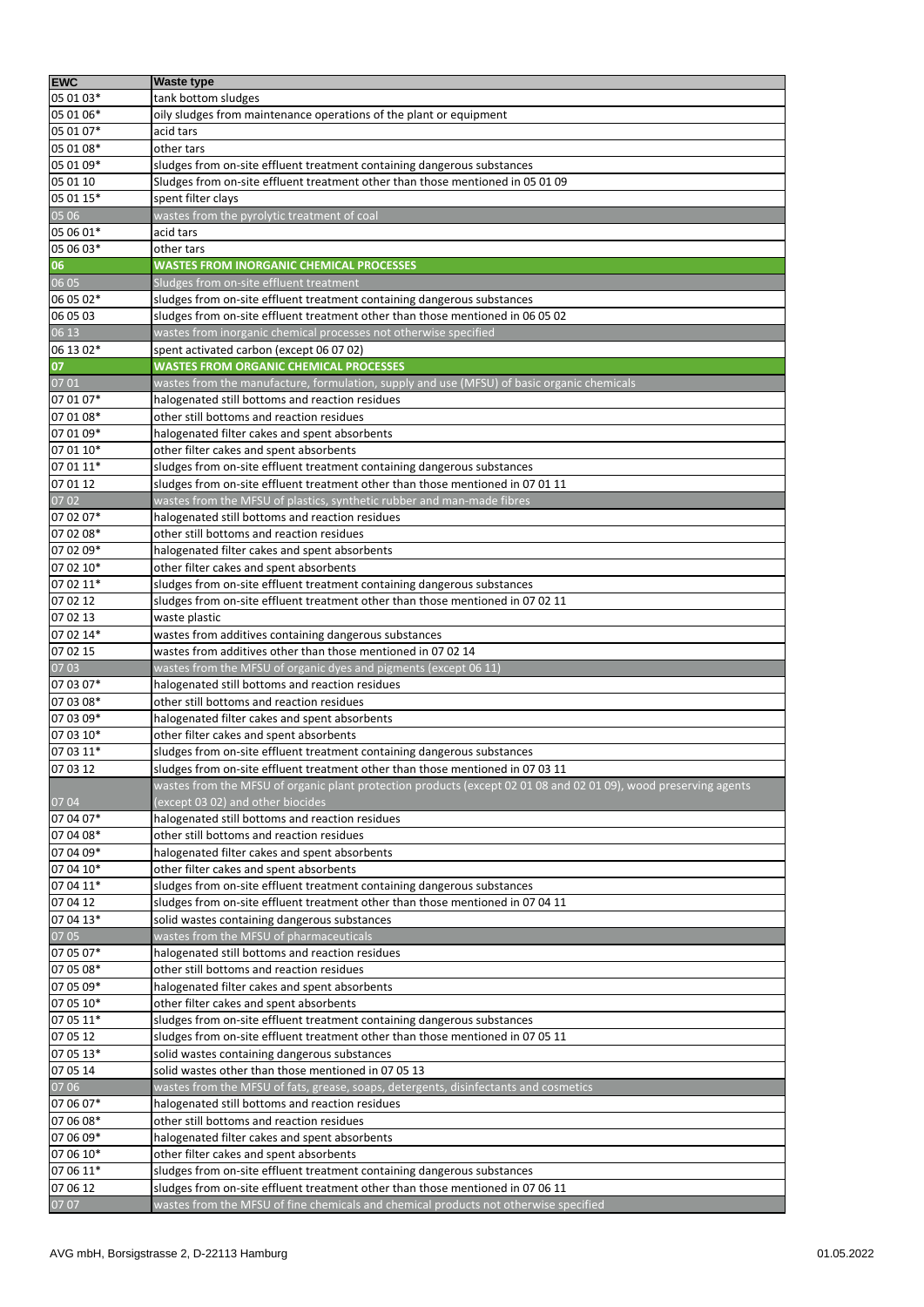| <b>EWC</b>        | <b>Waste type</b>                                                                                                |
|-------------------|------------------------------------------------------------------------------------------------------------------|
| 05 01 03*         | tank bottom sludges                                                                                              |
| 05 01 06*         | oily sludges from maintenance operations of the plant or equipment                                               |
| 05 01 07*         | acid tars                                                                                                        |
| 05 01 08*         | other tars                                                                                                       |
| 05 01 09*         | sludges from on-site effluent treatment containing dangerous substances                                          |
| 05 01 10          | Sludges from on-site effluent treatment other than those mentioned in 05 01 09                                   |
| 05 01 15*         | spent filter clays                                                                                               |
| 05 06             | wastes from the pyrolytic treatment of coal                                                                      |
| 05 06 01*         | acid tars                                                                                                        |
| 05 06 03*         | other tars                                                                                                       |
| 06                | <b>WASTES FROM INORGANIC CHEMICAL PROCESSES</b>                                                                  |
| 06 05             | Sludges from on-site effluent treatment                                                                          |
| 06 05 02*         | sludges from on-site effluent treatment containing dangerous substances                                          |
| 06 05 03          | sludges from on-site effluent treatment other than those mentioned in 06 05 02                                   |
| 06 13             | wastes from inorganic chemical processes not otherwise specified                                                 |
| 06 13 02*         | spent activated carbon (except 06 07 02)                                                                         |
|                   | <b>WASTES FROM ORGANIC CHEMICAL PROCESSES</b>                                                                    |
| 07                |                                                                                                                  |
| 07 01             | wastes from the manufacture, formulation, supply and use (MFSU) of basic organic chemicals                       |
| 07 01 07*         | halogenated still bottoms and reaction residues                                                                  |
| 07 01 08*         | other still bottoms and reaction residues                                                                        |
| 07 01 09*         | halogenated filter cakes and spent absorbents                                                                    |
| 07 01 10*         | other filter cakes and spent absorbents                                                                          |
| 07 01 11*         | sludges from on-site effluent treatment containing dangerous substances                                          |
| 07 01 12          | sludges from on-site effluent treatment other than those mentioned in 07 01 11                                   |
| 07 02             | wastes from the MFSU of plastics, synthetic rubber and man-made fibres                                           |
| 07 02 07*         | halogenated still bottoms and reaction residues                                                                  |
| 07 02 08*         | other still bottoms and reaction residues                                                                        |
| 07 02 09*         | halogenated filter cakes and spent absorbents                                                                    |
| 07 02 10*         | other filter cakes and spent absorbents                                                                          |
| 07 02 11*         | sludges from on-site effluent treatment containing dangerous substances                                          |
| 07 02 12          | sludges from on-site effluent treatment other than those mentioned in 07 02 11                                   |
| 07 02 13          | waste plastic                                                                                                    |
| 07 02 14*         | wastes from additives containing dangerous substances                                                            |
| 07 02 15          | wastes from additives other than those mentioned in 07 02 14                                                     |
| 07 03             | wastes from the MFSU of organic dyes and pigments (except 06 11)                                                 |
| 07 03 07*         | halogenated still bottoms and reaction residues                                                                  |
| 07 03 08*         | other still bottoms and reaction residues                                                                        |
| 07 03 09*         | halogenated filter cakes and spent absorbents                                                                    |
| 07 03 10*         | other filter cakes and spent absorbents                                                                          |
| 07 03 11*         | sludges from on-site effluent treatment containing dangerous substances                                          |
| 07 03 12          | sludges from on-site effluent treatment other than those mentioned in 07 03 11                                   |
|                   | wastes from the MFSU of organic plant protection products (except 02 01 08 and 02 01 09), wood preserving agents |
| 0704              | (except 03 02) and other biocides                                                                                |
| 07 04 07*         | halogenated still bottoms and reaction residues                                                                  |
| 07 04 08*         | other still bottoms and reaction residues                                                                        |
| 07 04 09*         | halogenated filter cakes and spent absorbents                                                                    |
| 07 04 10*         |                                                                                                                  |
|                   | other filter cakes and spent absorbents                                                                          |
| 07 04 11*         | sludges from on-site effluent treatment containing dangerous substances                                          |
| 07 04 12          | sludges from on-site effluent treatment other than those mentioned in 07 04 11                                   |
| 07 04 13*         | solid wastes containing dangerous substances                                                                     |
| 07 05             | wastes from the MFSU of pharmaceuticals                                                                          |
| 07 05 07*         | halogenated still bottoms and reaction residues                                                                  |
| 07 05 08*         | other still bottoms and reaction residues                                                                        |
| 07 05 09*         | halogenated filter cakes and spent absorbents                                                                    |
| 07 05 10*         | other filter cakes and spent absorbents                                                                          |
| 07 05 11*         | sludges from on-site effluent treatment containing dangerous substances                                          |
| 07 05 12          | sludges from on-site effluent treatment other than those mentioned in 07 05 11                                   |
| 07 05 13*         | solid wastes containing dangerous substances                                                                     |
| 07 05 14          | solid wastes other than those mentioned in 07 05 13                                                              |
| $\overline{0706}$ | wastes from the MFSU of fats, grease, soaps, detergents, disinfectants and cosmetics                             |
| 07 06 07*         | halogenated still bottoms and reaction residues                                                                  |
| 07 06 08*         | other still bottoms and reaction residues                                                                        |
| 07 06 09*         | halogenated filter cakes and spent absorbents                                                                    |
| 07 06 10*         | other filter cakes and spent absorbents                                                                          |
| 07 06 11*         | sludges from on-site effluent treatment containing dangerous substances                                          |
| 07 06 12          | sludges from on-site effluent treatment other than those mentioned in 07 06 11                                   |
| 07 07             | wastes from the MFSU of fine chemicals and chemical products not otherwise specified                             |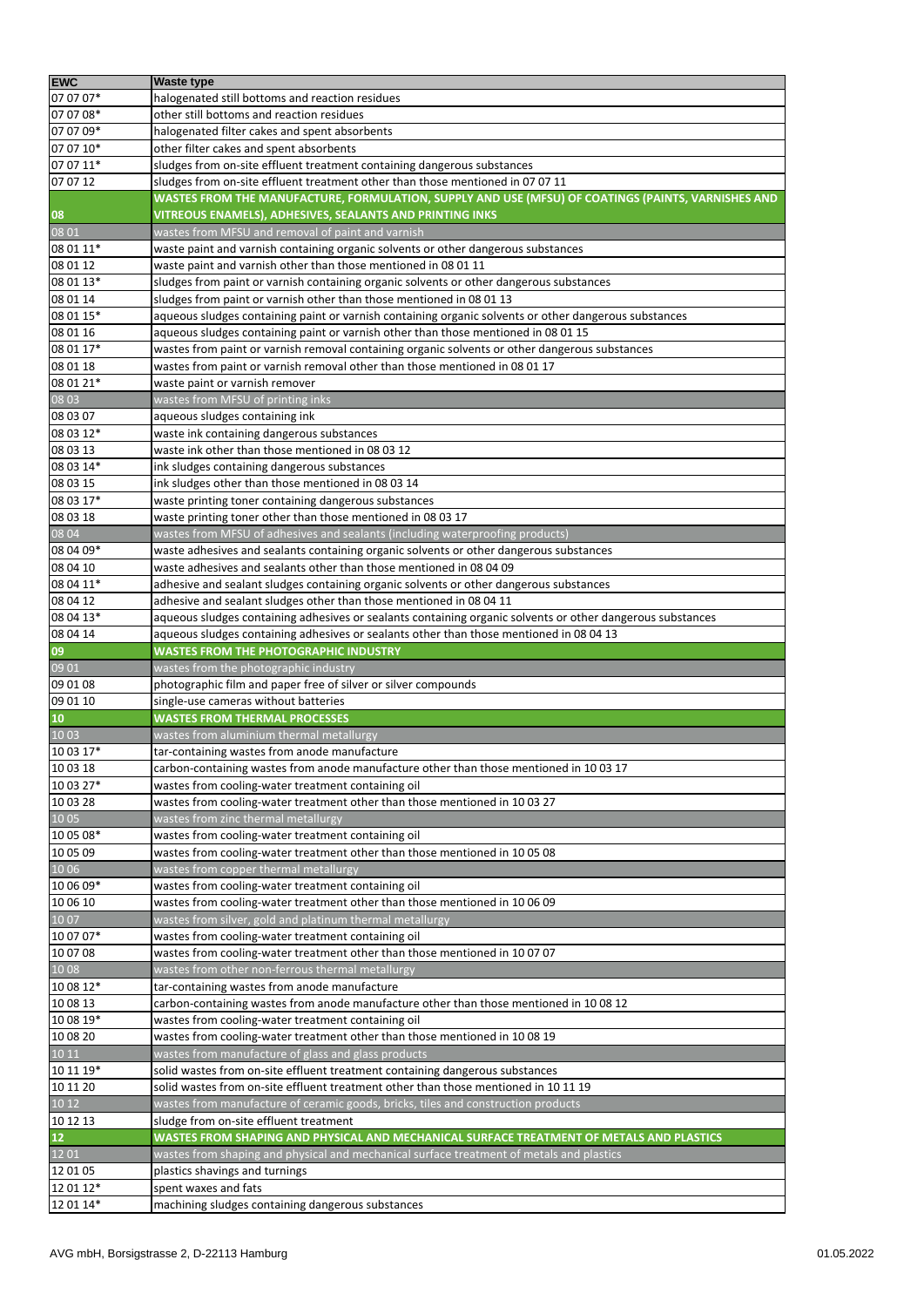| <b>EWC</b>          | <b>Waste type</b>                                                                                          |
|---------------------|------------------------------------------------------------------------------------------------------------|
| 07 07 07*           | halogenated still bottoms and reaction residues                                                            |
| 07 07 08*           | other still bottoms and reaction residues                                                                  |
| 07 07 09*           | halogenated filter cakes and spent absorbents                                                              |
| 07 07 10*           | other filter cakes and spent absorbents                                                                    |
| 07 07 11*           | sludges from on-site effluent treatment containing dangerous substances                                    |
| 07 07 12            | sludges from on-site effluent treatment other than those mentioned in 07 07 11                             |
|                     | WASTES FROM THE MANUFACTURE, FORMULATION, SUPPLY AND USE (MFSU) OF COATINGS (PAINTS, VARNISHES AND         |
|                     | VITREOUS ENAMELS), ADHESIVES, SEALANTS AND PRINTING INKS                                                   |
| 08<br>08 01         | wastes from MFSU and removal of paint and varnish                                                          |
| 08 01 11*           | waste paint and varnish containing organic solvents or other dangerous substances                          |
| 08 01 12            | waste paint and varnish other than those mentioned in 08 01 11                                             |
| 08 01 13*           | sludges from paint or varnish containing organic solvents or other dangerous substances                    |
| 08 01 14            | sludges from paint or varnish other than those mentioned in 08 01 13                                       |
| 08 01 15*           | aqueous sludges containing paint or varnish containing organic solvents or other dangerous substances      |
| 08 01 16            | aqueous sludges containing paint or varnish other than those mentioned in 08 01 15                         |
| 08 01 17*           | wastes from paint or varnish removal containing organic solvents or other dangerous substances             |
| 08 01 18            | wastes from paint or varnish removal other than those mentioned in 08 01 17                                |
| 08 01 21*           | waste paint or varnish remover                                                                             |
| 08 03               | wastes from MFSU of printing inks                                                                          |
|                     |                                                                                                            |
| 08 03 07            | aqueous sludges containing ink                                                                             |
| 08 03 12*           | waste ink containing dangerous substances                                                                  |
| 08 03 13            | waste ink other than those mentioned in 08 03 12                                                           |
| 08 03 14*           | ink sludges containing dangerous substances                                                                |
| 08 03 15            | ink sludges other than those mentioned in 08 03 14                                                         |
| 08 03 17*           | waste printing toner containing dangerous substances                                                       |
| 08 03 18            | waste printing toner other than those mentioned in 08 03 17                                                |
| 08 04               | wastes from MFSU of adhesives and sealants (including waterproofing products)                              |
| 08 04 09*           | waste adhesives and sealants containing organic solvents or other dangerous substances                     |
| 08 04 10            | waste adhesives and sealants other than those mentioned in 08 04 09                                        |
| 08 04 11*           | adhesive and sealant sludges containing organic solvents or other dangerous substances                     |
| 08 04 12            | adhesive and sealant sludges other than those mentioned in 08 04 11                                        |
| 08 04 13*           | aqueous sludges containing adhesives or sealants containing organic solvents or other dangerous substances |
| 08 04 14            | aqueous sludges containing adhesives or sealants other than those mentioned in 08 04 13                    |
| 09                  | <b>WASTES FROM THE PHOTOGRAPHIC INDUSTRY</b>                                                               |
| 09 01               | wastes from the photographic industry                                                                      |
| 09 01 08            | photographic film and paper free of silver or silver compounds                                             |
| 09 01 10            | single-use cameras without batteries                                                                       |
| 10                  | <b>WASTES FROM THERMAL PROCESSES</b>                                                                       |
| 10 03               | wastes from aluminium thermal metallurgy                                                                   |
| 10 03 17*           | tar-containing wastes from anode manufacture                                                               |
| 10 03 18            | carbon-containing wastes from anode manufacture other than those mentioned in 1003 17                      |
| 10 03 27*           | wastes from cooling-water treatment containing oil                                                         |
| 10 03 28            | wastes from cooling-water treatment other than those mentioned in 10 03 27                                 |
| 10 05               | wastes from zinc thermal metallurgy                                                                        |
| 10 05 08*           | wastes from cooling-water treatment containing oil                                                         |
| 10 05 09            | wastes from cooling-water treatment other than those mentioned in 10 05 08                                 |
| 10 06               | wastes from copper thermal metallurgy                                                                      |
| 10 06 09*           | wastes from cooling-water treatment containing oil                                                         |
| 10 06 10            | wastes from cooling-water treatment other than those mentioned in 10 06 09                                 |
| 1007                | wastes from silver, gold and platinum thermal metallurgy                                                   |
| 10 07 07*           | wastes from cooling-water treatment containing oil                                                         |
| 10 07 08            | wastes from cooling-water treatment other than those mentioned in 10 07 07                                 |
| 1008                | wastes from other non-ferrous thermal metallurgy                                                           |
| 10 08 12*           | tar-containing wastes from anode manufacture                                                               |
| 10 08 13            | carbon-containing wastes from anode manufacture other than those mentioned in 1008 12                      |
| 10 08 19*           | wastes from cooling-water treatment containing oil                                                         |
| 10 08 20            | wastes from cooling-water treatment other than those mentioned in 10 08 19                                 |
| 10 11               | wastes from manufacture of glass and glass products                                                        |
| 10 11 19*           | solid wastes from on-site effluent treatment containing dangerous substances                               |
| 10 11 20            | solid wastes from on-site effluent treatment other than those mentioned in 10 11 19                        |
| 1012                |                                                                                                            |
|                     | wastes from manufacture of ceramic goods, bricks, tiles and construction products                          |
| 10 12 13            | sludge from on-site effluent treatment                                                                     |
| ${\bf 12}$<br>12 01 | WASTES FROM SHAPING AND PHYSICAL AND MECHANICAL SURFACE TREATMENT OF METALS AND PLASTICS                   |
|                     | wastes from shaping and physical and mechanical surface treatment of metals and plastics                   |
| 12 01 05            | plastics shavings and turnings                                                                             |
| 12 01 12*           | spent waxes and fats                                                                                       |
| 12 01 14*           | machining sludges containing dangerous substances                                                          |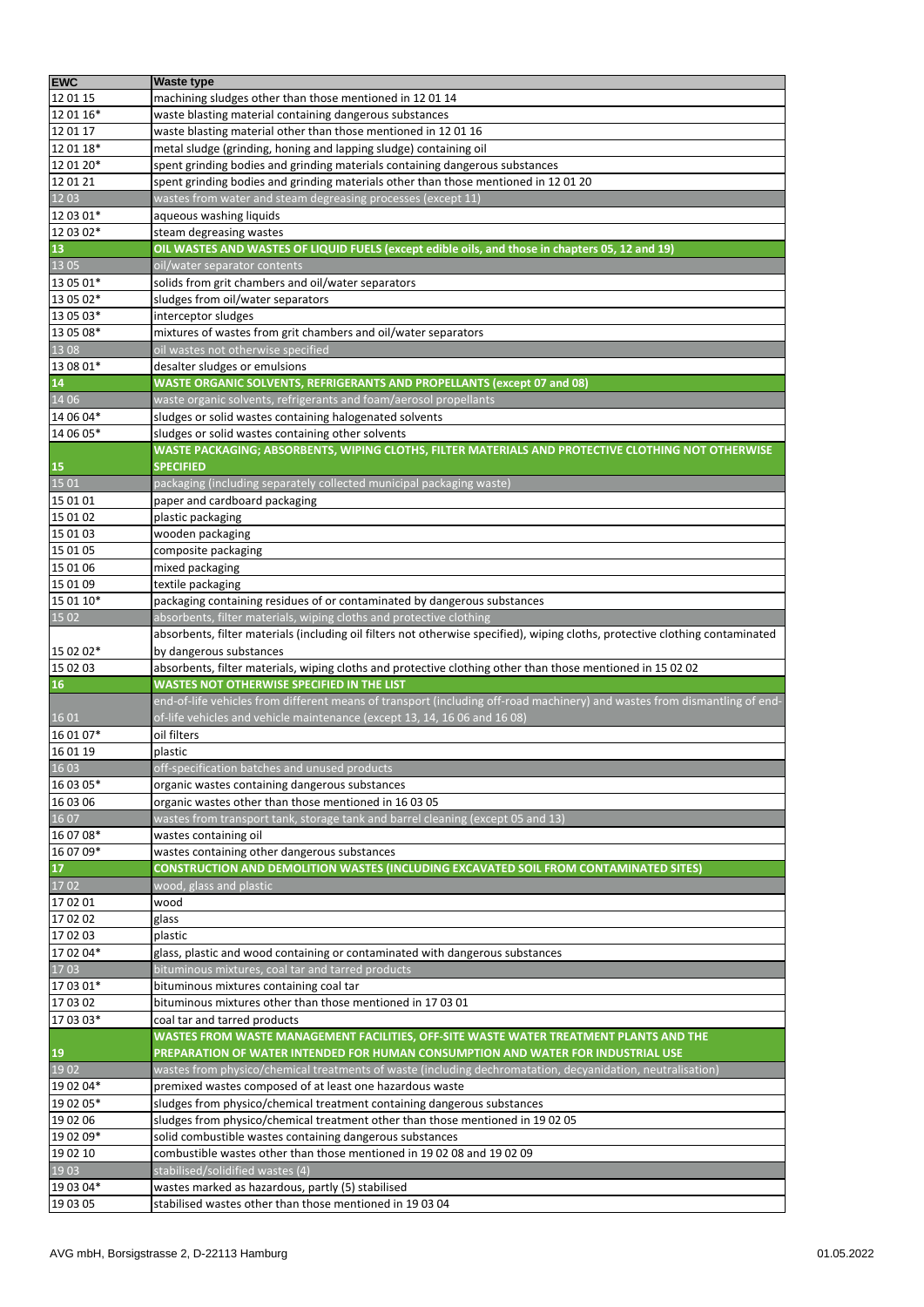| <b>EWC</b>                                                   | <b>Waste type</b>                                                                                                             |
|--------------------------------------------------------------|-------------------------------------------------------------------------------------------------------------------------------|
| 12 01 15                                                     | machining sludges other than those mentioned in 1201 14                                                                       |
| 12 01 16*                                                    | waste blasting material containing dangerous substances                                                                       |
| 12 01 17                                                     | waste blasting material other than those mentioned in 120116                                                                  |
| 12 01 18*                                                    | metal sludge (grinding, honing and lapping sludge) containing oil                                                             |
| 12 01 20*                                                    | spent grinding bodies and grinding materials containing dangerous substances                                                  |
| 12 01 21                                                     | spent grinding bodies and grinding materials other than those mentioned in 1201 20                                            |
| 12 03                                                        |                                                                                                                               |
|                                                              | wastes from water and steam degreasing processes (except 11)                                                                  |
| 12 03 01*                                                    | aqueous washing liquids                                                                                                       |
| 12 03 02*                                                    | steam degreasing wastes                                                                                                       |
| 13                                                           | OIL WASTES AND WASTES OF LIQUID FUELS (except edible oils, and those in chapters 05, 12 and 19)                               |
| 13 05                                                        | oil/water separator contents                                                                                                  |
| 13 05 01*                                                    | solids from grit chambers and oil/water separators                                                                            |
| 13 05 02*                                                    | sludges from oil/water separators                                                                                             |
| 13 05 03*                                                    | interceptor sludges                                                                                                           |
| 13 05 08*                                                    | mixtures of wastes from grit chambers and oil/water separators                                                                |
| 13 08                                                        | oil wastes not otherwise specified                                                                                            |
| 13 08 01*                                                    | desalter sludges or emulsions                                                                                                 |
| 14                                                           | WASTE ORGANIC SOLVENTS, REFRIGERANTS AND PROPELLANTS (except 07 and 08)                                                       |
| 14 06                                                        | waste organic solvents, refrigerants and foam/aerosol propellants                                                             |
| 14 06 04*                                                    | sludges or solid wastes containing halogenated solvents                                                                       |
| 14 06 05*                                                    | sludges or solid wastes containing other solvents                                                                             |
|                                                              | WASTE PACKAGING; ABSORBENTS, WIPING CLOTHS, FILTER MATERIALS AND PROTECTIVE CLOTHING NOT OTHERWISE                            |
|                                                              | <b>SPECIFIED</b>                                                                                                              |
| $\begin{array}{c} \textbf{15} \\ \textbf{15 01} \end{array}$ | packaging (including separately collected municipal packaging waste)                                                          |
| 15 01 01                                                     | paper and cardboard packaging                                                                                                 |
| 15 01 02                                                     | plastic packaging                                                                                                             |
|                                                              |                                                                                                                               |
| 15 01 03                                                     | wooden packaging                                                                                                              |
| 15 01 05                                                     | composite packaging                                                                                                           |
| 15 01 06                                                     | mixed packaging                                                                                                               |
| 15 01 09                                                     | textile packaging                                                                                                             |
| 15 01 10*                                                    | packaging containing residues of or contaminated by dangerous substances                                                      |
| 1502                                                         | absorbents, filter materials, wiping cloths and protective clothing                                                           |
|                                                              | absorbents, filter materials (including oil filters not otherwise specified), wiping cloths, protective clothing contaminated |
| 15 02 02*                                                    | by dangerous substances                                                                                                       |
| 15 02 03                                                     | absorbents, filter materials, wiping cloths and protective clothing other than those mentioned in 15 02 02                    |
| 16                                                           | WASTES NOT OTHERWISE SPECIFIED IN THE LIST                                                                                    |
|                                                              | end-of-life vehicles from different means of transport (including off-road machinery) and wastes from dismantling of end-     |
| 16 01                                                        | of-life vehicles and vehicle maintenance (except 13, 14, 16 06 and 16 08)                                                     |
| 16 01 07*                                                    | oil filters                                                                                                                   |
| 16 01 19                                                     | plastic                                                                                                                       |
| 16 03                                                        | off-specification batches and unused products                                                                                 |
| 16 03 05*                                                    | organic wastes containing dangerous substances                                                                                |
| 16 03 06                                                     | organic wastes other than those mentioned in 16 03 05                                                                         |
| 1607                                                         | wastes from transport tank, storage tank and barrel cleaning (except 05 and 13)                                               |
| 16 07 08*                                                    | wastes containing oil                                                                                                         |
| 16 07 09*                                                    | wastes containing other dangerous substances                                                                                  |
|                                                              | CONSTRUCTION AND DEMOLITION WASTES (INCLUDING EXCAVATED SOIL FROM CONTAMINATED SITES)                                         |
| ${\bf 17}$                                                   |                                                                                                                               |
| 1702                                                         | wood, glass and plastic                                                                                                       |
| 17 02 01                                                     | wood                                                                                                                          |
| 17 02 02                                                     | glass                                                                                                                         |
| 17 02 03                                                     | plastic                                                                                                                       |
| 17 02 04*                                                    | glass, plastic and wood containing or contaminated with dangerous substances                                                  |
| 1703                                                         | bituminous mixtures, coal tar and tarred products                                                                             |
| 17 03 01*                                                    | bituminous mixtures containing coal tar                                                                                       |
| 17 03 02                                                     | bituminous mixtures other than those mentioned in 170301                                                                      |
| 17 03 03*                                                    | coal tar and tarred products                                                                                                  |
|                                                              | WASTES FROM WASTE MANAGEMENT FACILITIES, OFF-SITE WASTE WATER TREATMENT PLANTS AND THE                                        |
| $\begin{array}{c} \n \textbf{19} \\ 1902\n \end{array}$      | PREPARATION OF WATER INTENDED FOR HUMAN CONSUMPTION AND WATER FOR INDUSTRIAL USE                                              |
|                                                              | wastes from physico/chemical treatments of waste (including dechromatation, decyanidation, neutralisation)                    |
| 19 02 04*                                                    | premixed wastes composed of at least one hazardous waste                                                                      |
| 19 02 05*                                                    | sludges from physico/chemical treatment containing dangerous substances                                                       |
| 19 02 06                                                     | sludges from physico/chemical treatment other than those mentioned in 19 02 05                                                |
| 19 02 09*                                                    | solid combustible wastes containing dangerous substances                                                                      |
| 19 02 10                                                     | combustible wastes other than those mentioned in 1902 08 and 1902 09                                                          |
| 19 03                                                        | stabilised/solidified wastes (4)                                                                                              |
| 19 03 04*                                                    | wastes marked as hazardous, partly (5) stabilised                                                                             |
|                                                              |                                                                                                                               |
| 19 03 05                                                     | stabilised wastes other than those mentioned in 19 03 04                                                                      |